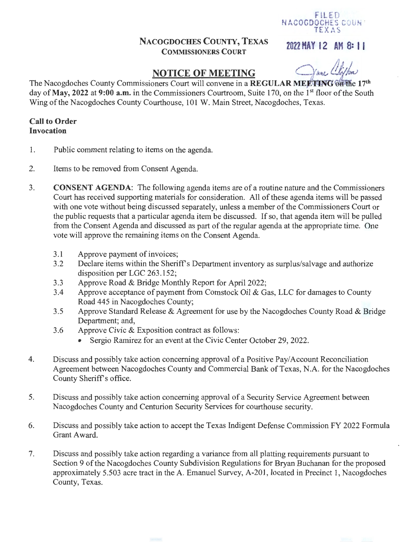#### NACOGDOCHES COUNTY, TEXAS 2022 MAY 12 AM 8: 11 COMMISSIONERS COURT

# NOTICE OF MEETING  $\bigcirc$  *and*  $\bigcirc$

FILED NACOGDOCHES COUN **TEXAS** 

The Nacogdoches County Commissioners Court will convene in a REGULAR MEETING OF the 17<sup>th</sup> day of May, 2022 at 9:00 a.m. in the Commissioners Courtroom, Suite 170, on the 1<sup>st</sup> floor of the South Wing of the Nacogdoches County Courthouse, 101 W. Main Street, Nacogdoches, Texas.

#### Call to Order Invocation

- 1. Public comment relating to items on the agenda.
- 2. Items to be removed from Consent Agenda.
- 3. CONSENT AGENDA: The following agenda items are of a routine nature and the Commissioners Court has received supporting materials for consideration. All of these agenda items will be passed with one vote without being discussed separately, unless a member of the Commissioners Court or the public requests that a particular agenda item be discussed. If so, that agenda item will be pulled from the Consent Agenda and discussed as part of the regular agenda at the appropriate time. One vote will approve the remaining items on the Consent Agenda.
	- 3.1 Approve payment of invoices;
	- 3.2 Declare items within the Sheriff's Department inventory as surplus/salvage and authorize disposition per LGC 263.152;
	- 3.3 Approve Road & Bridge Monthly Report for April2022;
	- 3.4 Approve acceptance of payment from Comstock Oil & Gas, LLC for damages to County Road 445 in Nacogdoches County;
	- 3.5 Approve Standard Release & Agreement for use by the Nacogdoches County Road & Bridge Department; and,
	- 3.6 Approve Civic & Exposition contract as follows:
		- Sergio Ramirez for an event at the Civic Center October 29, 2022.
- 4. Discuss and possibly take action concerning approval of a Positive Pay/ Account Reconciliation Agreement between Nacogdoches County and Commercial Bank of Texas, N.A. for the Nacogdoches County Sheriff's office.
- 5. Discuss and possibly take action concerning approval of a Security Service Agreement between Nacogdoches County and Centurion Security Services for courthouse security.
- 6. Discuss and possibly take action to accept the Texas Indigent Defense Commission FY 2022 Formula Grant Award.
- 7. Discuss and possibly take action regarding a variance from all platting requirements pursuant to Section 9 of the Nacogdoches County Subdivision Regulations for Bryan Buchanan for the proposed approximately 5.503 acre tract in the A. Emanuel Survey, A-201, located in Precinct 1, Nacogdoches County, Texas.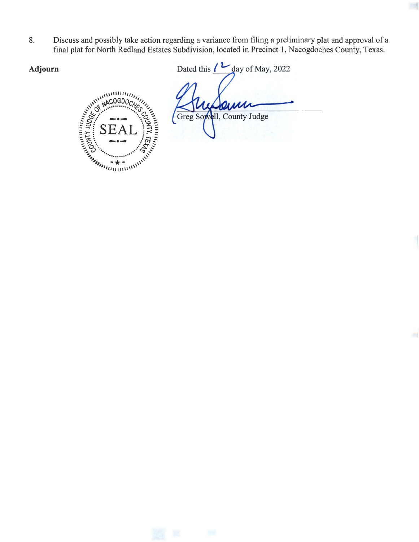8. Discuss and possibly take action regarding a variance from filing a preliminary plat and approval of a final plat for North Redland Estates Subdivision, located in Precinct 1, Nacogdoches County, Texas.



Adjourn Dated this  $\ell$ <sup>L</sup> day of May, 2022 ter Greg Sowell, County Judge

 $\mathbb{R}$ 

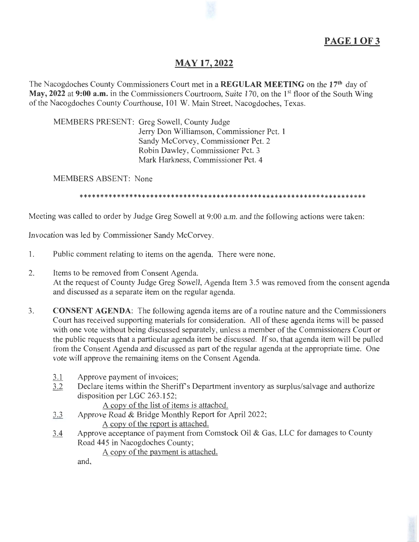### **MAY 17,2022**

The Nacogdoches County Commissioners Court met in a **REGULAR MEETING** on the **17th** day of May, 2022 at 9:00 a.m. in the Commissioners Courtroom, Suite 170, on the 1<sup>st</sup> floor of the South Wing of the Nacogdoches County Courthouse, 101 W. Main Street, Nacogdoches, Texas.

MEMBERS PRESENT: Greg Sowell, County Judge Jerry Don Williamson, Commissioner Pet. 1 Sandy McCorvey, Commissioner Pet. 2 Robin Dawley, Commissioner Pet. 3 Mark Harkness, Commissioner Pet. 4

MEMBERS ABSENT: None

\*\*\*\*\*\*\*\*\*\*\*\*\*\*\*\*\*\*\*\*\*\*\*\*\*\*\*\*\*\*\*\*\*\*\*\*\*\*\*\*\*\*\*\*\*\*\*\*\*\*\*\*\*\*\*\*\*\*\*\*\*\*\*\*\*\*\*\*\*

Meeting was called to order by Judge Greg Sowell at 9:00 a.m. and the following actions were taken:

Invocation was led by Commissioner Sandy McCorvey.

- 1. Public comment relating to items on the agenda. There were none.
- 2. Items to be removed from Consent Agenda. At the request of County Judge Greg Sowell, Agenda Item 3.5 was removed from the consent agenda and discussed as a separate item on the regular agenda.
- 3. **CONSENT AGENDA:** The following agenda items are of a routine nature and the Commissioners Court has received supporting materials for consideration. All of these agenda items will be passed with one vote without being discussed separately, unless a member of the Commissioners Court or the public requests that a particular agenda item be discussed. If so, that agenda item will be pulled from the Consent Agenda and discussed as part of the regular agenda at the appropriate time. One vote will approve the remaining items on the Consent Agenda.
	- $\frac{3.1}{3.2}$  Approve payment of invoices;<br> $\frac{3.1}{2.2}$  Declare items within the Sheri:
	- Declare items within the Sheriff's Department inventory as surplus/salvage and authorize disposition per LGC 263 .152;

A copy of the list of items is attached.

- 3.3 Approve Road & Bridge Monthly Report for April 2022; A copy of the report is attached.
- 3.4 Approve acceptance of payment from Comstock Oil & Gas, LLC for damages to County Road 445 in Nacogdoches County;

A copy of the payment is attached.

and,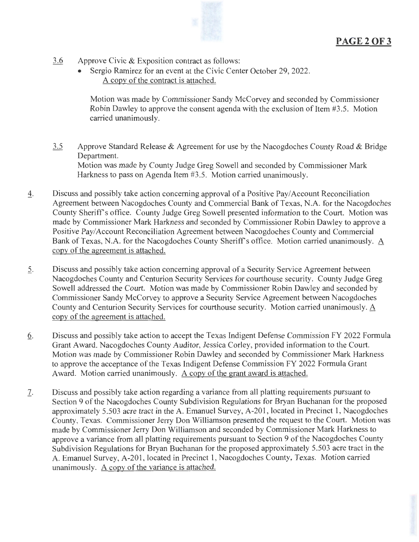# **PAGE20F3**

- 3.6 Approve Civic & Exposition contract as follows:
	- Sergio Ramirez for an event at the Civic Center October 29, 2022. A copy of the contract is attached.

Motion was made by Commissioner Sandy McCorvey and seconded by Commissioner Robin Dawley to approve the consent agenda with the exclusion of Item  $#3.5$ . Motion carried unanimously.

- 3.5 Approve Standard Release & Agreement for use by the Nacogdoches County Road & Bridge Department. Motion was made by County Judge Greg Sowell and seconded by Commissioner Mark Harkness to pass on Agenda Item #3.5. Motion carried unanimously.
- 1\_. Discuss and possibly take action concerning approval of a Positive Pay/ Account Reconciliation Agreement between Nacogdoches County and Commercial Bank of Texas, N.A. for the Nacogdoches County Sheriff's office. County Judge Greg Sowell presented information to the Court. Motion was made by Commissioner Mark Harkness and seconded by Commissioner Robin Dawley to approve a Positive Pay/Account Reconciliation Agreement between Nacogdoches County and Commercial Bank of Texas, N.A. for the Nacogdoches County Sheriff's office. Motion carried unanimously. A copy of the agreement is attached.
- 5. Discuss and possibly take action concerning approval of a Security Service Agreement between Nacogdoches County and Centurion Security Services for courthouse security. County Judge Greg Sowell addressed the Court. Motion was made by Commissioner Robin Dawley and seconded by Commissioner Sandy McCorvey to approve a Security Service Agreement between Nacogdoches County and Centurion Security Services for courthouse security. Motion carried unanimously. A copy of the agreement is attached.
- \_Q. Discuss and possibly take action to accept the Texas Indigent Defense Commission FY 2022 Formula Grant Award. Nacogdoches County Auditor, Jessica Corley, provided information to the Court. Motion was made by Commissioner Robin Dawley and seconded by Commissioner Mark Harkness to approve the acceptance of the Texas Indigent Defense Commission FY 2022 Formula Grant Award. Motion carried unanimously. A copy of the grant award is attached.
- 7. Discuss and possibly take action regarding a variance from all platting requirements pursuant to Section 9 of the Nacogdoches County Subdivision Regulations for Bryan Buchanan for the proposed approximately 5.503 acre tract in the A. Emanuel Survey, A-201, located in Precinct 1, Nacogdoches County, Texas. Commissioner Jerry Don Williamson presented the request to the Court. Motion was made by Commissioner Jerry Don Williamson and seconded by Commissioner Mark Harkness to approve a variance from all platting requirements pursuant to Section 9 of the Nacogdoches County Subdivision Regulations for Bryan Buchanan for the proposed approximately 5.503 acre tract in the A. Emanuel Survey, A-201 , located in Precinct 1, Nacogdoches County, Texas. Motion carried unanimously. A copy of the variance is attached.